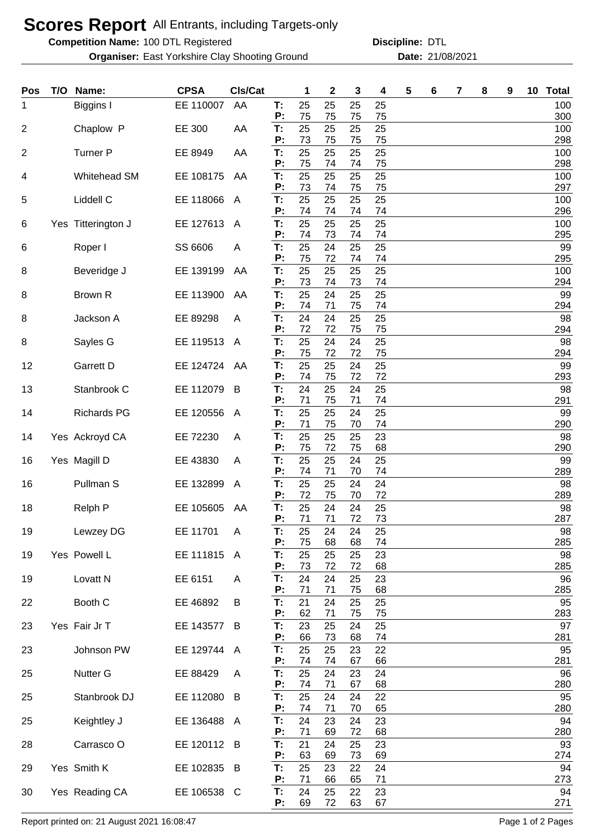## **Scores Report** All Entrants, including Targets-only

**Competition Name:** 100 DTL Registered **Competition Name:** DTL

**Organiser:** East Yorkshire Clay Shooting Ground **21/08/2021** Date: 21/08/2021

**Discipline:**

| Pos | T/O | Name:               | <b>CPSA</b> | CIs/Cat      |          | 1        | $\mathbf 2$ | 3        | 4        | 5 | 6 | 7 | 8 | 9 | 10 | <b>Total</b> |
|-----|-----|---------------------|-------------|--------------|----------|----------|-------------|----------|----------|---|---|---|---|---|----|--------------|
| 1   |     | Biggins I           | EE 110007   | AA           | T:<br>P: | 25<br>75 | 25<br>75    | 25<br>75 | 25<br>75 |   |   |   |   |   |    | 100<br>300   |
| 2   |     | Chaplow P           | EE 300      | AA           | T:<br>P: | 25<br>73 | 25          | 25       | 25       |   |   |   |   |   |    | 100          |
| 2   |     | <b>Turner P</b>     | EE 8949     | AA           | T:       | 25       | 75<br>25    | 75<br>25 | 75<br>25 |   |   |   |   |   |    | 298<br>100   |
| 4   |     | Whitehead SM        | EE 108175   | AA           | P:<br>T: | 75<br>25 | 74<br>25    | 74<br>25 | 75<br>25 |   |   |   |   |   |    | 298<br>100   |
|     |     |                     |             |              | Ρ:       | 73       | 74          | 75       | 75       |   |   |   |   |   |    | 297          |
| 5   |     | Liddell C           | EE 118066   | A            | T:<br>Ρ: | 25<br>74 | 25<br>74    | 25<br>74 | 25<br>74 |   |   |   |   |   |    | 100<br>296   |
| 6   |     | Yes Titterington J  | EE 127613   | A            | T:<br>Ρ: | 25<br>74 | 25<br>73    | 25<br>74 | 25<br>74 |   |   |   |   |   |    | 100<br>295   |
| 6   |     | Roper I             | SS 6606     | A            | Т:       | 25       | 24          | 25       | 25       |   |   |   |   |   |    | 99           |
| 8   |     | Beveridge J         | EE 139199   | AA           | P:<br>T: | 75<br>25 | 72<br>25    | 74<br>25 | 74<br>25 |   |   |   |   |   |    | 295<br>100   |
| 8   |     | Brown R             | EE 113900   | AA           | P:<br>T: | 73<br>25 | 74<br>24    | 73<br>25 | 74<br>25 |   |   |   |   |   |    | 294<br>99    |
|     |     |                     |             |              | P:       | 74       | 71          | 75       | 74       |   |   |   |   |   |    | 294          |
| 8   |     | Jackson A           | EE 89298    | A            | T:<br>P: | 24<br>72 | 24<br>72    | 25<br>75 | 25<br>75 |   |   |   |   |   |    | 98<br>294    |
| 8   |     | Sayles G            | EE 119513   | A            | T:<br>P: | 25<br>75 | 24<br>72    | 24<br>72 | 25<br>75 |   |   |   |   |   |    | 98<br>294    |
| 12  |     | Garrett D           | EE 124724   | AA           | T:       | 25       | 25          | 24       | 25       |   |   |   |   |   |    | 99           |
| 13  |     | Stanbrook C         | EE 112079   | B            | Ρ:<br>T: | 74<br>24 | 75<br>25    | 72<br>24 | 72<br>25 |   |   |   |   |   |    | 293<br>98    |
|     |     |                     |             |              | Ρ:       | 71       | 75          | 71       | 74       |   |   |   |   |   |    | 291          |
| 14  |     | <b>Richards PG</b>  | EE 120556   | A            | T:<br>P: | 25<br>71 | 25<br>75    | 24<br>70 | 25<br>74 |   |   |   |   |   |    | 99<br>290    |
| 14  |     | Yes Ackroyd CA      | EE 72230    | A            | Т:<br>P: | 25<br>75 | 25<br>72    | 25<br>75 | 23<br>68 |   |   |   |   |   |    | 98<br>290    |
| 16  |     | Yes Magill D        | EE 43830    | A            | T:       | 25       | 25          | 24       | 25       |   |   |   |   |   |    | 99           |
| 16  |     | Pullman S           | EE 132899   | A            | P:<br>T: | 74<br>25 | 71<br>25    | 70<br>24 | 74<br>24 |   |   |   |   |   |    | 289<br>98    |
|     |     |                     |             |              | Ρ:       | 72       | 75          | 70       | 72       |   |   |   |   |   |    | 289          |
| 18  |     | Relph P             | EE 105605   | AA           | T:<br>P: | 25<br>71 | 24<br>71    | 24<br>72 | 25<br>73 |   |   |   |   |   |    | 98<br>287    |
| 19  |     | Lewzey DG           | EE 11701    | A            | Т:<br>Ρ: | 25<br>75 | 24<br>68    | 24<br>68 | 25<br>74 |   |   |   |   |   |    | 98<br>285    |
| 19  |     | Yes Powell L        | EE 111815   | $\mathsf{A}$ | T:       | 25       | 25          | 25       | 23       |   |   |   |   |   |    | 98           |
| 19  |     | Lovatt <sub>N</sub> | EE 6151     | A            | P:<br>T: | 73<br>24 | 72<br>24    | 72<br>25 | 68<br>23 |   |   |   |   |   |    | 285<br>96    |
| 22  |     | Booth C             | EE 46892    | B            | P:<br>T: | 71<br>21 | 71<br>24    | 75<br>25 | 68<br>25 |   |   |   |   |   |    | 285<br>95    |
|     |     |                     |             |              | Ρ:       | 62       | 71          | 75       | 75       |   |   |   |   |   |    | 283          |
| 23  |     | Yes Fair Jr T       | EE 143577   | B            | T:<br>P: | 23<br>66 | 25<br>73    | 24<br>68 | 25<br>74 |   |   |   |   |   |    | 97<br>281    |
| 23  |     | Johnson PW          | EE 129744 A |              | T:<br>P: | 25<br>74 | 25<br>74    | 23<br>67 | 22<br>66 |   |   |   |   |   |    | 95<br>281    |
| 25  |     | Nutter G            | EE 88429    | A            | T:       | 25       | 24          | 23       | 24       |   |   |   |   |   |    | 96           |
| 25  |     | Stanbrook DJ        | EE 112080   | B            | Ρ.<br>T: | 74<br>25 | 71<br>24    | 67<br>24 | 68<br>22 |   |   |   |   |   |    | 280<br>95    |
|     |     |                     |             |              | P:       | 74       | 71          | 70       | 65       |   |   |   |   |   |    | 280          |
| 25  |     | Keightley J         | EE 136488 A |              | T:<br>P: | 24<br>71 | 23<br>69    | 24<br>72 | 23<br>68 |   |   |   |   |   |    | 94<br>280    |
| 28  |     | Carrasco O          | EE 120112 B |              | T:<br>Ρ. | 21<br>63 | 24<br>69    | 25<br>73 | 23<br>69 |   |   |   |   |   |    | 93<br>274    |
| 29  |     | Yes Smith K         | EE 102835   | B            | T:       | 25       | 23          | 22       | 24       |   |   |   |   |   |    | 94           |
| 30  |     | Yes Reading CA      | EE 106538 C |              | Ρ:<br>T: | 71<br>24 | 66<br>25    | 65<br>22 | 71<br>23 |   |   |   |   |   |    | 273<br>94    |
|     |     |                     |             |              | P:       | 69       | 72          | 63       | 67       |   |   |   |   |   |    | 271          |

Report printed on: 21 August 2021 16:08:47 Page 1 of 2 Pages